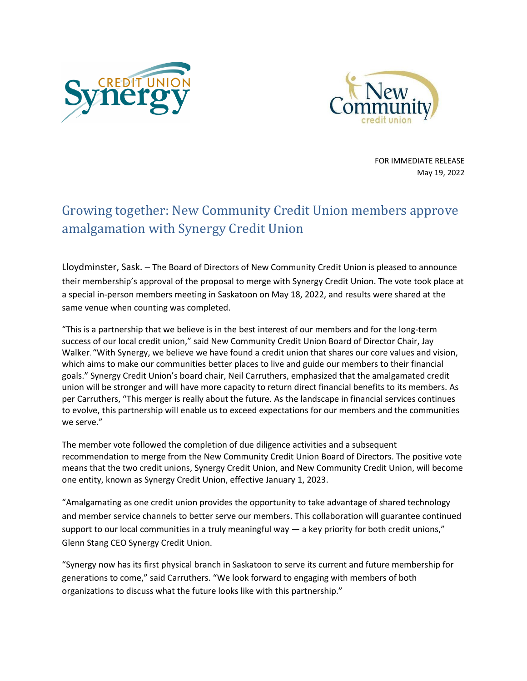



 FOR IMMEDIATE RELEASE May 19, 2022

## Growing together: New Community Credit Union members approve amalgamation with Synergy Credit Union

Lloydminster, Sask. – The Board of Directors of New Community Credit Union is pleased to announce their membership's approval of the proposal to merge with Synergy Credit Union. The vote took place at a special in-person members meeting in Saskatoon on May 18, 2022, and results were shared at the same venue when counting was completed.

"This is a partnership that we believe is in the best interest of our members and for the long-term success of our local credit union," said New Community Credit Union Board of Director Chair, Jay Walker. "With Synergy, we believe we have found a credit union that shares our core values and vision, which aims to make our communities better places to live and guide our members to their financial goals." Synergy Credit Union's board chair, Neil Carruthers, emphasized that the amalgamated credit union will be stronger and will have more capacity to return direct financial benefits to its members. As per Carruthers, "This merger is really about the future. As the landscape in financial services continues to evolve, this partnership will enable us to exceed expectations for our members and the communities we serve."

The member vote followed the completion of due diligence activities and a subsequent recommendation to merge from the New Community Credit Union Board of Directors. The positive vote means that the two credit unions, Synergy Credit Union, and New Community Credit Union, will become one entity, known as Synergy Credit Union, effective January 1, 2023.

"Amalgamating as one credit union provides the opportunity to take advantage of shared technology and member service channels to better serve our members. This collaboration will guarantee continued support to our local communities in a truly meaningful way — a key priority for both credit unions," Glenn Stang CEO Synergy Credit Union.

"Synergy now has its first physical branch in Saskatoon to serve its current and future membership for generations to come," said Carruthers. "We look forward to engaging with members of both organizations to discuss what the future looks like with this partnership."